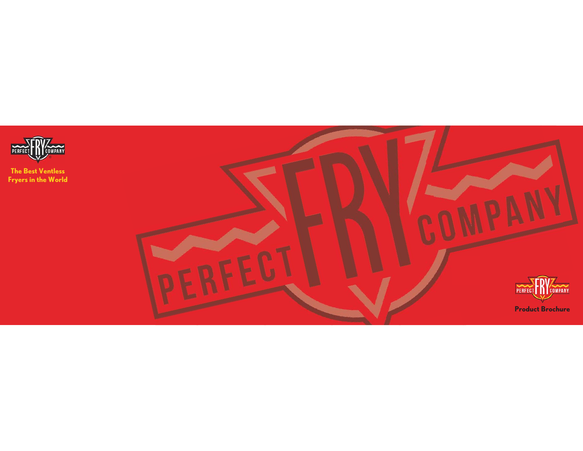

**The Best Ventless Fryers in the World**

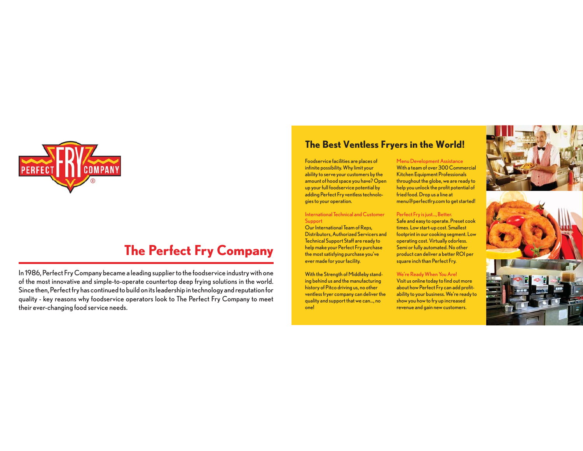

### **The Perfect Fry Company**

In 1986, Perfect Fry Company became a leading supplier to the foodservice industry with one of the most innovative and simple-to-operate countertop deep frying solutions in the world. Since then, Perfect fry has continued to build on its leadership in technology and reputation for quality - key reasons why foodservice operators look to The Perfect Fry Company to meet their ever-changing food service needs.

#### **The Best Ventless Fryers in the World!**

Foodservice facilities are places of infinite possibility. Why limit your ability to serve your customers by the amount of hood space you have? Open up your full foodservice potential by adding Perfect Fry ventless technologies to your operation.

International Technical and Customer **Support** 

Our International Team of Reps, Distributors, Authorized Servicers and Technical Support Staff are ready to help make your Perfect Fry purchase the most satisfying purchase you've ever made for your facility.

With the Strength of Middleby standing behind us and the manufacturing history of Pitco driving us, no other ventless fryer company can deliver the quality and support that we can…, no one!

Menu Development Assistance With a team of over 300 Commercial Kitchen Equipment Professionals throughout the globe, we are ready to help you unlock the profit potential of fried food. Drop us a line at menu@perfectfry.com to get started!

Perfect Fry is just…, Better. Safe and easy to operate. Preset cook times. Low start-up cost. Smallest footprint in our cooking segment. Low operating cost. Virtually odorless. Semi or fully automated. No other product can deliver a better ROI per square inch than Perfect Fry.

#### We're Ready When You Are! Visit us online today to find out more about how Perfect Fry can add profitability to your business. We're ready to show you how to fry up increased

revenue and gain new customers.



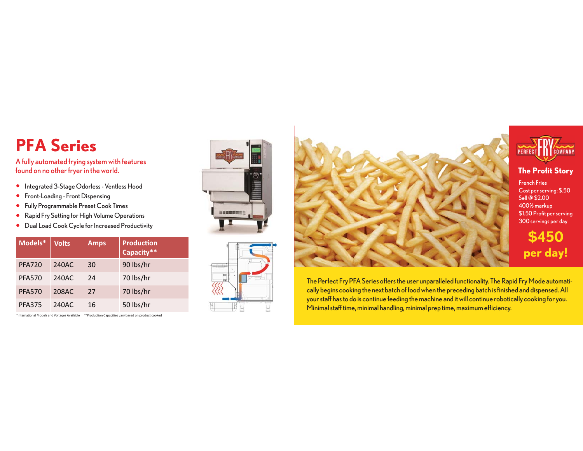# **PFA Series**

A fully automated frying system with features found on no other fryer in the world.

- **•** Integrated 3-Stage Odorless Ventless Hood
- **•** Front-Loading Front Dispensing
- Fully Programmable Preset Cook Times
- Rapid Fry Setting for High Volume Operations
- Dual Load Cook Cycle for Increased Productivity

| Models*       | <b>Volts</b> | <b>Amps</b> | <b>Production</b><br>Capacity** |
|---------------|--------------|-------------|---------------------------------|
| <b>PFA720</b> | 240AC        | 30          | 90 lbs/hr                       |
| <b>PFA570</b> | 240AC        | 24          | 70 lbs/hr                       |
| <b>PFA570</b> | 208AC        | 27          | 70 lbs/hr                       |
| <b>PFA375</b> | 240AC        | 16          | 50 lbs/hr                       |

\*International Models and Voltages Available \*\*Production Capacities vary based on product cooked







The Perfect Fry PFA Series offers the user unparalleled functionality. The Rapid Fry Mode automatically begins cooking the next batch of food when the preceding batch is finished and dispensed. All your staff has to do is continue feeding the machine and it will continue robotically cooking for you. Minimal staff time, minimal handling, minimal prep time, maximum efficiency.



**The Profit Story**

French FriesCost per serving: \$.50 Sell @ \$2.00 400% markup \$1.50 Profit per serving 300 servings per day

**\$450 per day!**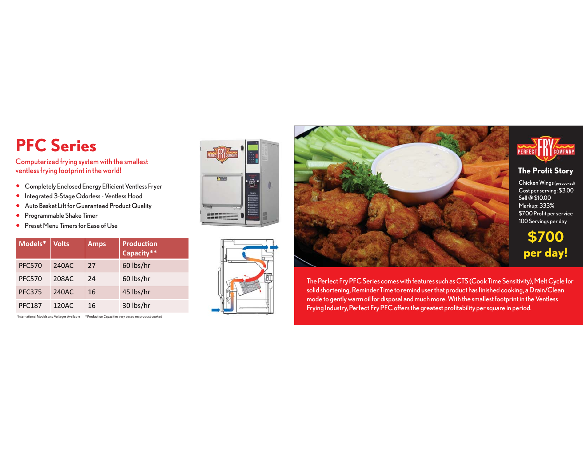# **PFC Series**

Computerized frying system with the smallest ventless frying footprint in the world!

- Completely Enclosed Energy Efficient Ventless Fryer
- **•** Integrated 3-Stage Odorless Ventless Hood
- Auto Basket Lift for Guaranteed Product Quality
- Programmable Shake Timer  $\bullet$
- Preset Menu Timers for Ease of Use

| Models*       | <b>Volts</b> | <b>Amps</b> | <b>Production</b><br>Capacity** |
|---------------|--------------|-------------|---------------------------------|
| <b>PFC570</b> | 240AC        | 27          | 60 lbs/hr                       |
| <b>PFC570</b> | 208AC        | 24          | 60 lbs/hr                       |
| <b>PFC375</b> | 240AC        | 16          | 45 lbs/hr                       |
| <b>PFC187</b> | 120AC        | 16          | 30 lbs/hr                       |

\*International Models and Voltages Available \*\*Production Capacities vary based on product cooked









**The Profit Story**

Chicken Wings (precooked) Cost per serving: \$3.00 Sell @ \$10.00 Markup: 333% \$7.00 Profit per service 100 Servings per day

**\$700 per day!**

The Perfect Fry PFC Series comes with features such as CTS (Cook Time Sensitivity), Melt Cycle for solid shortening, Reminder Time to remind user that product has finished cooking, a Drain/Clean mode to gently warm oil for disposal and much more. With the smallest footprint in the Ventless Frying Industry, Perfect Fry PFC offers the greatest profitability per square in period.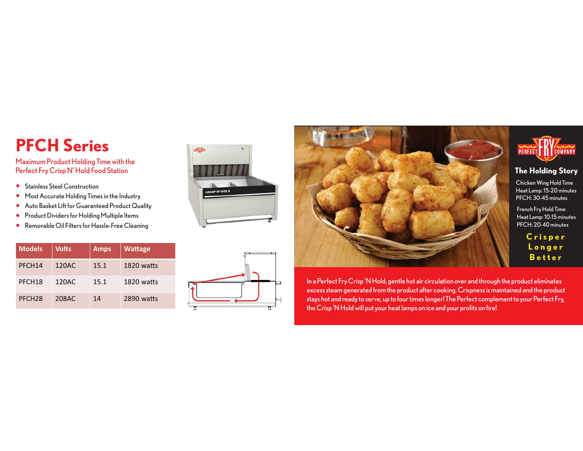# **PFCH Series**

Maximum Product Holding Time with the Perfect Fry Crisp N' Hold Food Station

- **•** Stainless Steel Construction
- **•** Most Accurate Holding Times in the Industry
- Auto Basket Lift for Guaranteed Product Quality
- **•** Product Dividers for Holding Multiple Items
- Removable Oil Filters for Hassle-Free Cleaning

| <b>Models</b>      | <b>Volts</b> | <b>Amps</b> | <b>Wattage</b> |
|--------------------|--------------|-------------|----------------|
| PFCH <sub>14</sub> | 120AC        | 15.1        | 1820 watts     |
| PFCH <sub>18</sub> | 120AC        | 15.1        | 1820 watts     |
| PFCH <sub>28</sub> | 208AC        | 14          | 2890 watts     |







In a Perfect Fry Crisp 'N Hold, gentle hot air circulation over and through the product eliminates excess steam generated from the product after cooking. Crispness is maintained and the product stays hot and ready to serve, up to four times longer! The Perfect complement to your Perfect Fry, the Crisp 'N Hold will put your heat lamps on ice and your profits on fire!



#### **The Holding Story**

Chicken Wing Hold Time Heat Lamp: 15-20 minutes PFCH: 30-45 minutes

French Fry Hold Time Heat Lamp: 10-15 minutes PFCH: 20-40 minutes

> **Crisper Longer Better**